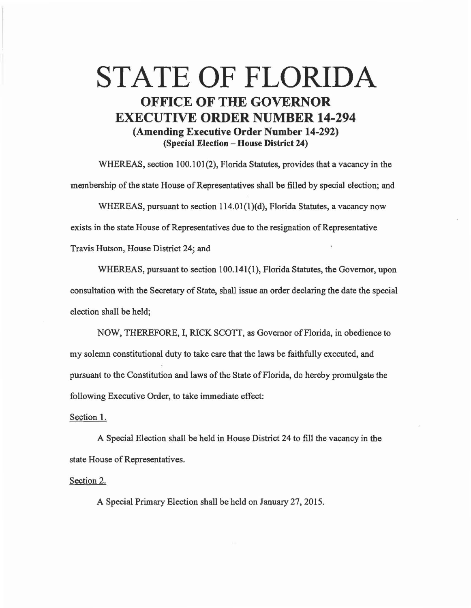## STATE OF FLORIDA OFFICE OF THE GOVERNOR EXECUTIVE ORDER NUMBER 14-294 (Amending Executive Order Number 14-292) (Special Election - House District 24)

WHEREAS, section 100.101(2), Florida Statutes, provides that a vacancy in the membership of the state House of Representatives shall be filled by special election; and

WHEREAS, pursuant to section  $114.01(1)(d)$ , Florida Statutes, a vacancy now exists in the state House of Representatives due to the resignation of Representative Travis Hutson, House District 24; and

WHEREAS, pursuant to section 100.141(1), Florida Statutes, the Governor, upon consultation with the Secretary of State, shall issue an order declaring the date the special election shall be held;

NOW, THEREFORE, I, RICK SCOTT, as Governor of Florida, in obedience to my solemn constitutional duty to take care that the laws be faithfully executed, and pursuant to the Constitution and laws of the State of Florida, do hereby promulgate the following Executive Order, to take immediate effect:

## Section 1.

A Special Election shall be held in House District 24 to fill the vacancy in the state House of Representatives.

## Section 2.

A Special Primary Election shall be held on January 27, 2015.